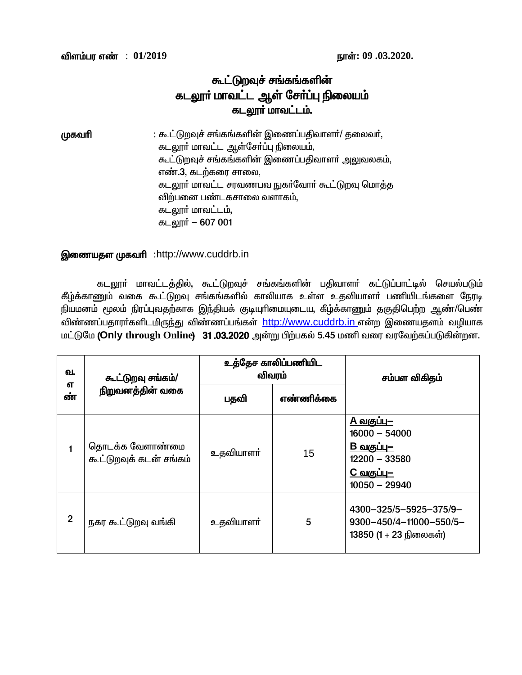#### விளம்பர எண் : 01/2019

# கூட்டுறவுச் சங்கங்களின் கடலூர் மாவட்ட ஆள் சேர்ப்பு நிலையம் கடலார் மாவட்டம்.

: கூட்டுறவுச் சங்கங்களின் இணைப்பதிவாளா்/ தலைவா், முகவரி கடலூர் மாவட்ட ஆள்சேர்ப்பு நிலையம், கூட்டுறவுச் சங்கங்களின் இணைப்பதிவாளர் அலுவலகம், எண்.3, கடற்கரை சாலை, கடலூர் மாவட்ட சரவணபவ நுகர்வோர் கூட்டுறவு மொத்த விற்பனை பண்டகசாலை வளாகம், கடலூர் மாவட்டம், கடலூர் – 607 001

#### இணையதள முகவரி:http://www.cuddrb.in

கடலூா் மாவட்டத்தில், கூட்டுறவுச் சங்கங்களின் பதிவாளா் கட்டுப்பாட்டில் செயல்படும் கீழ்க்காணும் வகை கூட்டுறவு சங்கங்களில் காலியாக உள்ள உதவியாளா் பணியிடங்களை நேரடி நியமனம் மூலம் நிரப்புவதற்காக இந்தியக் குடியுரிமையுடைய, கீழ்க்காணும் தகுதிபெற்ற ஆண்/பெண் விண்ணப்பதாரா்களிடமிருந்து விண்ணப்பங்கள் http://www.cuddrb.in என்ற இணையதளம் வழியாக மட்டுமே (Only through Online) 31.03.2020 அன்று பிற்பகல் 5.45 மணி வரை வரவேற்கப்படுகின்றன.

| வ.<br>எ<br>ண்  | கூட்டுறவு சங்கம்/<br>நிறுவனத்தின் வகை      | உத்தேச காலிப்பணியிட<br>விவரம் |           | சம்பள விகிதம்                                                                                                         |
|----------------|--------------------------------------------|-------------------------------|-----------|-----------------------------------------------------------------------------------------------------------------------|
|                |                                            | பதவி                          | எண்ணிக்கை |                                                                                                                       |
|                | தொடக்க வேளாண்மை<br>கூட்டுறவுக் கடன் சங்கம் | உதவியாளர்                     | 15        | <u>A வகுப்பு–</u><br>$16000 - 54000$<br><u>B வகுப்பு–</u><br>$12200 - 33580$<br><u> C வகுப்பு–</u><br>$10050 - 29940$ |
| $\overline{2}$ | நகர கூட்டுறவு வங்கி                        | உதவியாளர்                     | 5         | 4300-325/5-5925-375/9-<br>9300-450/4-11000-550/5-<br>13850 (1 + 23 நிலைகள்)                                           |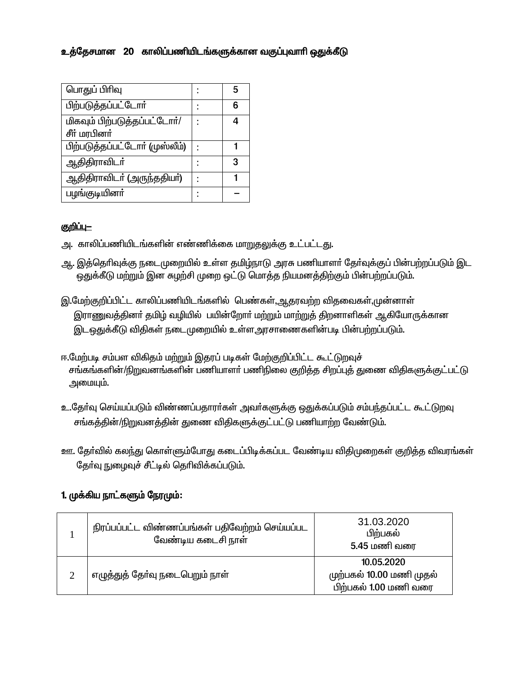# உத்தேசமான 20 காலிப்பணியிடங்களுக்கான வகுப்புவாரி ஒதுக்கீடு

| பொதுப் பிரிவு                                | 5 |
|----------------------------------------------|---|
| பிற்படுத்தப்பட்டோர்                          | հ |
| மிகவும் பிற்படுத்தப்பட்டோர்/<br>சீர் மரபினர் |   |
| பிற்படுத்தப்பட்டோர் (முஸ்லீம்)               |   |
| ஆதிதிராவிடா்                                 | 3 |
| ஆதிதிராவிடா் (அருந்ததியா்)                   |   |
| பழங்குடியினா்                                |   |

#### <u>குறிப்ப—</u>

- <u>அ. காலிப்பணியிடங்களின் எண்ணிக்கை மாறுதலுக்கு உட்பட்டது.</u>
- ஆ. இத்தெரிவுக்கு நடைமுறையில் உள்ள தமிழ்நாடு அரசு பணியாளா் தோ்வுக்குப் பின்பற்றப்படும் இட ஒதுக்கீடு மற்றும் இன சுழற்சி முறை ஒட்டு மொத்த நியமனத்திற்கும் பின்பற்றப்படும்.
- இ.மேற்குறிப்பிட்ட காலிப்பணியிடங்களில் பெண்கள்,ஆதரவற்ற விதவைகள்,முன்னாள் இராணுவத்தினா் தமிழ் வழியில் பயின்றோா் மற்றும் மாற்றுத் திறனாளிகள் ஆகியோருக்கான இடஒதுக்கீடு விதிகள் நடைமுறையில் உள்ளஅரசாணைகளின்படி பின்பற்றப்படும்.
- ஈ.மேற்படி சம்பள விகிதம் மற்றும் இதரப் படிகள் மேற்குறிப்பிட்ட கூட்டுறவுச் சங்கங்களின்/நிறுவனங்களின் பணியாளா் பணிநிலை குறித்த சிறப்புத் துணை விதிகளுக்குட்பட்டு அமையும்.
- உ.தேர்வு செய்யப்படும் விண்ணப்பதாரர்கள் அவர்களுக்கு ஒதுக்கப்படும் சம்பந்தப்பட்ட கூட்டுறவு சங்கத்தின்/நிறுவனத்தின் துணை விதிகளுக்குட்பட்டு பணியாற்ற வேண்டும்.
- ஊ. தேர்வில் கலந்து கொள்ளும்போது கடைப்பிடிக்கப்பட வேண்டிய விதிமுறைகள் குறித்த விவரங்கள் தேர்வு நுழைவுச் சீட்டில் தெரிவிக்கப்படும்.

## 1. முக்கிய நாட்களும் நேரமும்:

| நிரப்பப்பட்ட விண்ணப்பங்கள் பதிவேற்றம் செய்யப்பட<br>வேண்டிய கடைசி நாள் | 31.03.2020<br>பிற்பகல்<br>5.45 மணி வரை                          |
|-----------------------------------------------------------------------|-----------------------------------------------------------------|
| எழுத்துத் தோ்வு நடைபெறும் நாள்                                        | 10.05.2020<br>முற்பகல் 10.00 மணி முதல்<br>பிற்பகல் 1.00 மணி வரை |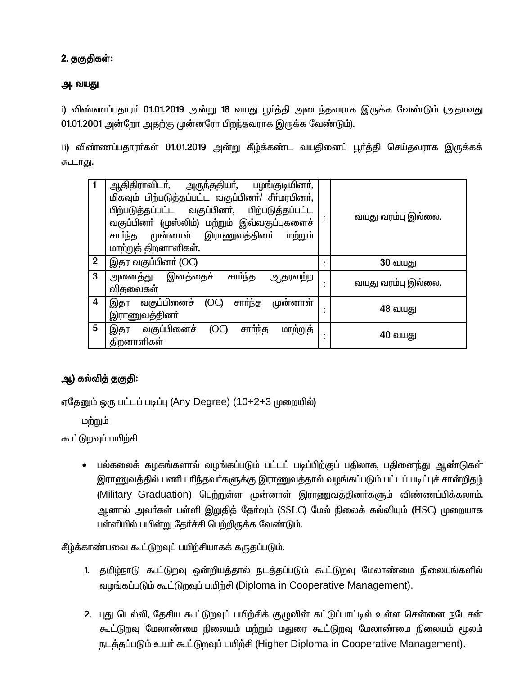# 2. தகுதிகள்:

## அ. வயது

i) விண்ணப்பதாரா் 01.01.2019 அன்று 18 வயது பூா்த்தி அடைந்தவராக இருக்க வேண்டும் (அதாவது 01.01.2001 அன்றோ அதற்கு முன்னரோ பிறந்தவராக இருக்க வேண்டும்).

ii) விண்ணப்பதாரா்கள் 01.01.2019 அன்று கீழ்க்கண்ட வயதினைப் பூா்த்தி செய்தவராக இருக்கக் கூடாது.

|                | ஆதிதிராவிடா், அருந்ததியா், பழங்குடியினா்,<br>மிகவும் பிற்படுத்தப்பட்ட வகுப்பினா்/ சீா்மரபினா்,<br>பிற்படுத்தப்பட்ட வகுப்பினர், பிற்படுத்தப்பட்ட<br>வகுப்பினா் (முஸ்லிம்) மற்றும் இவ்வகுப்புகளைச்<br>சாா்ந்த முன்னாள் இராணுவத்தினா்<br>மற்றும்<br>மாற்றுத் திறனாளிகள். | வயது வரம்பு இல்லை. |
|----------------|-----------------------------------------------------------------------------------------------------------------------------------------------------------------------------------------------------------------------------------------------------------------------|--------------------|
| $\overline{2}$ | இதர வகுப்பினர் (OC)                                                                                                                                                                                                                                                   | <b>30 வயது</b>     |
| 3              | சார்ந்த<br>அனைத்து இனத்தைச்<br>ஆதரவறற<br>விதவைகள்                                                                                                                                                                                                                     | வயது வரம்பு இல்லை. |
| 4              | சார்ந்த<br>இதர வகுப்பினைச்<br>(OC)<br>முன்னாள்<br>இராணுவத்தினா்                                                                                                                                                                                                       | 48 வயது            |
| 5              | சார்ந்த<br>இதர வகுப்பினைச்<br>(OC)<br>மாற்றுத்<br>திறனாளிகள்                                                                                                                                                                                                          | 40 வயது            |

# <u>ஆ)</u> கல்வித் தகுதி:

எதேனும் ஒரு பட்டப் படிப்பு (Any Degree) (10+2+3 முறையில்**)** 

**<u> <b>u**mmu</u>

கூட்டுறவுப் பயிற்சி

• பல்கலைக் கழகங்களால் வழங்கப்படும் பட்டப் படிப்பிற்குப் பதிலாக, பதினைந்து ஆண்டுகள் இராணுவத்தில் பணி புரிந்தவர்களுக்கு இராணுவத்தால் வழங்கப்படும் பட்டப் படிப்புச் சான்றிதழ் (Military Graduation) பெற்றுள்ள முன்னாள் இராணுவத்தினர்களும் விண்ணப்பிக்கலாம். ஆனால் அவர்கள் பள்ளி இறுதித் தேர்வும் (SSLC) மேல் நிலைக் கல்வியும் (HSC) முறையாக பள்ளியில் பயின்று தேர்ச்சி பெற்றிருக்க வேண்டும்.

கீழ்க்காண்பவை கூட்டுறவுப் பயிற்சியாகக் கருதப்படும்.

- 1. தமிழ்நாடு கூட்டுறவு ஒன்றியத்தால் நடத்தப்படும் கூட்டுறவு மேலாண்மை நிலையங்களில் வழங்கப்படும் கூட்டுறவுப் பயிற்சி (Diploma in Cooperative Management).
- 2. புது டெல்லி, தேசிய கூட்டுறவுப் பயிற்சிக் குழுவின் கட்டுப்பாட்டில் உள்ள சென்னை நடேசன் கூட்டுறவு மேலாண்மை நிலையம் மற்றும் மதுரை கூட்டுறவு மேலாண்மை நிலையம் மூலம் நடத்தப்படும் உயர் கூட்டுறவுப் பயிற்சி (Higher Diploma in Cooperative Management).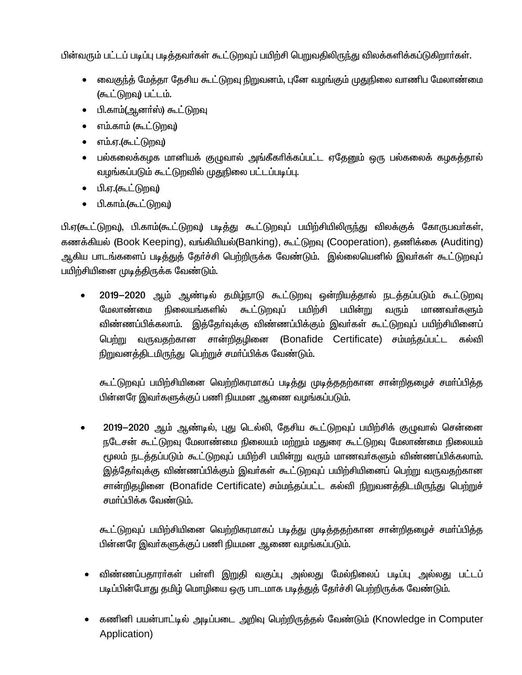பின்வரும் பட்டப் படிப்பு படித்தவர்கள் கூட்டுறவுப் பயிற்சி பெறுவதிலிருந்து விலக்களிக்கப்டுகிறார்கள்.

- வைகுந்த் மேத்தா தேசிய கூட்டுறவு நிறுவனம், புனே வழங்கும் முதுநிலை வாணிப மேலாண்மை (கூட்டுறவு) பட்டம்.
- பி.காம்(ஆனா்ஸ்) கூட்டுறவு
- எம்.காம் (கூட்டுறவு)
- எம்.ஏ.(கூட்டுறவு)
- பல்கலைக்கழக மானியக் குழுவால் அங்கீகரிக்கப்பட்ட ஏதேனும் ஒரு பல்கலைக் கழகத்தால் வழங்கப்படும் கூட்டுறவில் முதுநிலை பட்டப்படிப்பு.
- பி.ஏ.(கூட்டுறவு)
- பி.காம்.(கூட்டுறவு)

பி.ஏ(கூட்டுறவு), பி.காம்(கூட்டுறவு) படித்து கூட்டுறவுப் பயிற்சியிலிருந்து விலக்குக் கோருபவர்கள், கணக்கியல் (Book Keeping), வங்கியியல்(Banking), கூட்டுறவு (Cooperation), தணிக்கை (Auditing) ஆகிய பாடங்களைப் படித்துத் தேர்ச்சி பெற்றிருக்க வேண்டும். இல்லையெனில் இவர்கள் கூட்டுறவுப் பயிற்சியினை முடித்திருக்க வேண்டும்.

2019-2020 ஆம் ஆண்டில் தமிழ்நாடு கூட்டுறவு ஒன்றியத்தால் நடத்தப்படும் கூட்டுறவு  $\bullet$ மேலாண்மை நிலையங்களில் கூட்டுறவுப் பயிற்சி பயின்று வரும் மாணவர்களும் விண்ணப்பிக்கலாம். இத்தேர்வுக்கு விண்ணப்பிக்கும் இவர்கள் கூட்டுறவுப் பயிற்சியினைப் வருவதற்கான சான்றிதழினை (Bonafide Certificate) சம்மந்தப்பட்ட கல்வி பெற்று நிறுவனத்திடமிருந்து பெற்றுச் சமா்ப்பிக்க வேண்டும்.

கூட்டுறவுப் பயிற்சியினை வெற்றிகரமாகப் படித்து முடித்ததற்கான சான்றிதழைச் சமா்ப்பித்த பின்னரே இவா்களுக்குப் பணி நியமன ஆணை வழங்கப்படும்.

2019-2020 ஆம் ஆண்டில், புது டெல்லி, தேசிய கூட்டுறவுப் பயிற்சிக் குழுவால் சென்னை நடேசன் கூட்டுறவு மேலாண்மை நிலையம் மற்றும் மதுரை கூட்டுறவு மேலாண்மை நிலையம் மூலம் நடத்தப்படும் கூட்டுறவுப் பயிற்சி பயின்று வரும் மாணவர்களும் விண்ணப்பிக்கலாம். இத்தேர்வுக்கு விண்ணப்பிக்கும் இவர்கள் கூட்டுறவுப் பயிற்சியினைப் பெற்று வருவதற்கான சான்றிதழினை (Bonafide Certificate) சம்மந்தப்பட்ட கல்வி நிறுவனத்திடமிருந்து பெற்றுச் சமா்ப்பிக்க வேண்டும்.

கூட்டுறவுப் பயிற்சியினை வெற்றிகரமாகப் படித்து முடித்ததற்கான சான்றிதழைச் சமா்ப்பித்த பின்னரே இவா்களுக்குப் பணி நியமன ஆணை வழங்கப்படும்.

- விண்ணப்பதாரா்கள் பள்ளி இறுதி வகுப்பு அல்லது மேல்நிலைப் படிப்பு அல்லது பட்டப் படிப்பின்போது தமிழ் மொழியை ஒரு பாடமாக படித்துத் தேர்ச்சி பெற்றிருக்க வேண்டும்.
- கணினி பயன்பாட்டில் அடிப்படை அறிவு பெற்றிருத்தல் வேண்டும் (Knowledge in Computer Application)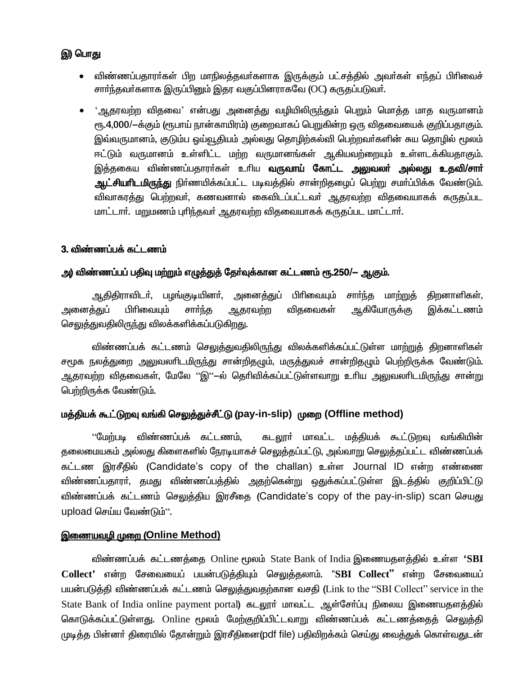# இ) பொது

- விண்ணப்பதாரா்கள் பிற மாநிலத்தவா்களாக இருக்கும் பட்சத்தில் அவா்கள் எந்தப் பிாிவைச்  $\bullet$ சார்ந்தவர்களாக இருப்பினும் இதர வகுப்பினராகவே (OC) கருதப்படுவர்.
- 'ஆதரவற்ற விதவை' என்பது அனைத்து வழியிலிருந்தும் பெறும் மொத்த மாத வருமானம்  $\bullet$ ரூ.4,000/-க்கும் (ரூபாய் நான்காயிரம்) குறைவாகப் பெறுகின்ற ஒரு விதவையைக் குறிப்பதாகும். இவ்வருமானம், குடும்ப ஓய்வூதியம் அல்லது தொழிற்கல்வி பெற்றவா்களின் சுய தொழில் மூலம் ஈட்டும் வருமானம் உள்ளிட்ட மற்ற வருமானங்கள் ஆகியவற்றையும் உள்ளடக்கியதாகும். இத்தகைய விண்ணப்பதாரா்கள் உரிய **வருவாய் கோட்ட அலுவலா் அல்லது உதவி/சாா்** ஆட்சியரிடமிருந்து நிர்ணயிக்கப்பட்ட படிவத்தில் சான்றிதழைப் பெற்று சமர்ப்பிக்க வேண்டும். விவாகரத்து பெற்றவர், கணவனால் கைவிடப்பட்டவர் ஆதரவற்ற விதவையாகக் கருதப்பட மாட்டார். மறுமணம் புரிந்தவர் ஆதரவற்ற விதவையாகக் கருதப்பட மாட்டார்.

#### 3. விண்ணப்பக் கட்டணம்

#### அ) விண்ணப்பப் பதிவு மற்றும் எழுத்துத் தேர்வுக்கான கட்டணம் ரூ.250/— ஆகும்.

ஆதிதிராவிடா், பழங்குடியினா், அனைத்துப் பிாிவையும் சாா்ந்த மாற்றுத் திறனாளிகள், பிரிவையும் <u>ஆதரவற்ற</u> ஆகியோருக்கு இக்கட்டணம் அனை<u>க்க</u>ுப் சார்ந்த விதவைகள் செலுத்துவதிலிருந்து விலக்களிக்கப்படுகிறது.

விண்ணப்பக் கட்டணம் செலுத்துவதிலிருந்து விலக்களிக்கப்பட்டுள்ள மாற்றுத் திறனாளிகள் சமூக நலத்துறை அலுவலாிடமிருந்து சான்றிதழும், மருத்துவச் சான்றிதழும் பெற்றிருக்க வேண்டும். ஆதரவற்ற விதவைகள், மேலே ''இ''—ல் தெரிவிக்கப்பட்டுள்ளவாறு உரிய அலுவலரிடமிருந்து சான்று பெற்றிருக்க வேண்டும்.

## மத்தியக் கூட்டுறவு வங்கி செலுத்துச்சீட்டு (pay-in-slip) முறை (Offline method)

''மேற்படி விண்ணப்பக் கட்டணம். கடலூா் மாவட்ட மக்கியக் கூட்டுறவு வங்கியின் தலைமையகம் அல்லது கிளைகளில் நேரடியாகச் செலுத்தப்பட்டு, அவ்வாறு செலுத்தப்பட்ட விண்ணப்பக் கட்டண இரசீதில் (Candidate's copy of the challan) உள்ள Journal ID என்ற எண்ணை விண்ணப்பதாரா், தமது விண்ணப்பத்தில் அதற்கென்று ஒதுக்கப்பட்டுள்ள இடத்தில் குறிப்பிட்டு விண்ணப்பக் கட்டணம் செலுத்திய இரசீதை (Candidate's copy of the pay-in-slip) scan செயது upload செய்ய வேண்டும்".

#### இணையவழி முறை (Online Method)

விண்ணப்பக் கட்டணத்தை Online மூலம் State Bank of India இணையதளத்தில் உள்ள 'SBI Collect' என்ற சேவையைப் பயன்படுத்தியும் செலுத்தலாம். "SBI Collect" என்ற சேவையைப் பயன்படுத்தி விண்ணப்பக் கட்டணம் செலுத்துவதற்கான வசதி (Link to the "SBI Collect" service in the State Bank of India online payment portal) கடலூர் மாவட்ட ஆள்சேர்ப்பு நிலைய இணையதளத்தில் கொடுக்கப்பட்டுள்ளது. Online மூலம் மேற்குறிப்பிட்டவாறு விண்ணப்பக் கட்டணத்தைத் செலுத்தி முடித்த பின்னர் திரையில் தோன்றும் இரசீதினை(pdf file) பதிவிறக்கம் செய்து வைத்துக் கொள்வதுடன்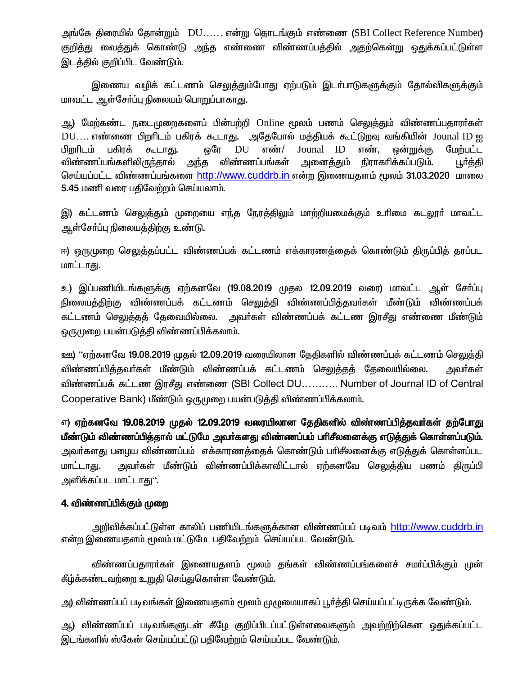அங்கே திரையில் தோன்றும் DU...... என்று தொடங்கும் எண்ணை (SBI Collect Reference Number) குறித்து வைத்துக் கொண்டு அந்த எண்ணை விண்ணப்பத்தில் அதற்கென்று ஒதுக்கப்பட்டுள்ள இடக்கில் குறிப்பிட வேண்டும்.

இணைய வழிக் கட்டணம் செலுத்தும்போது ஏற்படும் இடா்பாடுகளுக்கும் தோல்விகளுக்கும் மாவட்ட ஆள்சோ்ப்பு நிலையம் பொறுப்பாகாது.

ஆ) மேற்கண்ட நடைமுறைகளைப் பின்பற்றி Online மூலம் பணம் செலுக்தும் விண்ணப்பதாரா்கள் DU.... எண்ணை பிறரிடம் பகிரக் கூடாது. அதேபோல் மத்தியக் கூட்டுறவு வங்கியின் Jounal ID ஐ ஒரே DU எண்/ Jounal ID பிறரிடம் பகிரக் கூடாது. எண். ஔ்றுக்கு மேற்பட்ட விண்ணப்பங்களிலிருந்தால் அந்த விண்ணப்பங்கள் அனைத்தும் நிராகரிக்கப்படும். பூர்த்தி செய்யப்பட்ட விண்ணப்பங்களை http://www.cuddrb.in என்ற இணையதளம் மூலம் 31.03.2020 மாலை 5.45 மணி வரை பகிவேற்றம் செய்யலாம்.

இ) கட்டணம் செலுத்தும் முறையை எந்த நேரத்திலும் மாற்றியமைக்கும் உரிமை கடலூா் மாவட்ட ஆள்சோ்ப்பு நிலையத்திற்கு உண்டு.

ஈ) ஒருமுறை செலுத்தப்பட்ட விண்ணப்பக் கட்டணம் எக்காரணத்தைக் கொண்டும் திருப்பித் தரப்பட மாட்டாது.

உ) இப்பணியிடங்களுக்கு ஏற்கனவே (19.08.2019 முதல 12.09.2019 வரை) மாவட்ட ஆள் சோ்ப்பு நிலையத்திற்கு விண்ணப்பக் கட்டணம் செலுத்தி விண்ணப்பித்தவர்கள் மீண்டும் விண்ணப்பக் கட்டணம் செலுத்தத் தேவையில்லை. அவர்கள் விண்ணப்பக் கட்டண இரசீது எண்ணை மீண்டும் ஒருமுறை பயன்படுத்தி விண்ணப்பிக்கலாம்.

ஊ) ''ஏற்கனவே 19.08.2019 முதல் 12.09.2019 வரையிலான தேதிகளில் விண்ணப்பக் கட்டணம் செலுத்தி விண்ணப்பித்தவர்கள் மீண்டும் விண்ணப்பக் கட்டணம் செலுத்தத் தேவையில்லை. அவர்கள் விண்ணப்பக் கட்டண இரசீது எண்ணை (SBI Collect DU........... Number of Journal ID of Central Cooperative Bank) மீண்டும் ஒருமுறை பயன்படுத்தி விண்ணப்பிக்கலாம்.

எ) ஏற்கனவே 19.08.2019 முதல் 12.09.2019 வரையிலான தேதிகளில் விண்ணப்பித்தவர்கள் தற்போது மீண்டும் விண்ணப்பித்தால் மட்டுமே அவர்களது விண்ணப்பம் பரிசீலனைக்கு எடுத்துக் கொள்ளப்படும். அவர்களது பமைய விண்ணப்பம் எக்காரணக்கைக் கொண்டும் பரிசீலனைக்கு எடுக்துக் கொள்ளப்பட மாட்டாகு. அவா்கள் மீண்டும் விண்ணப்பிக்காவிட்டால் ஏற்கனவே செலுத்திய பணம் திருப்பி அளிக்கப்பட மாட்டாகு''.

# 4. விண்ணப்பிக்கும் முறை

அறிவிக்கப்பட்டுள்ள காலிப் பணியிடங்களுக்கான விண்ணப்பப் படிவம் http://www.cuddrb.in என்ற இணையதளம் மூலம் மட்டுமே பதிவேற்றம் செய்யப்பட வேண்டும்.

விண்ணப்பதாரா்கள் இணையதளம் மூலம் தங்கள் விண்ணப்பங்களைச் சமா்ப்பிக்கும் முன் கீழ்க்கண்டவற்றை உறுதி செய்துகொள்ள வேண்டும்.

அ) விண்ணப்பப் படிவங்கள் இணையதளம் மூலம் முழுமையாகப் பூர்த்தி செய்யப்பட்டிருக்க வேண்டும்.

ஆ) விண்ணப்பப் படிவங்களுடன் கீழே குறிப்பிடப்பட்டுள்ளவைகளும் அவற்றிற்கென ஒதுக்கப்பட்ட இடங்களில் ஸ்கேன் செய்யப்பட்டு பதிவேற்றம் செய்யப்பட வேண்டும்.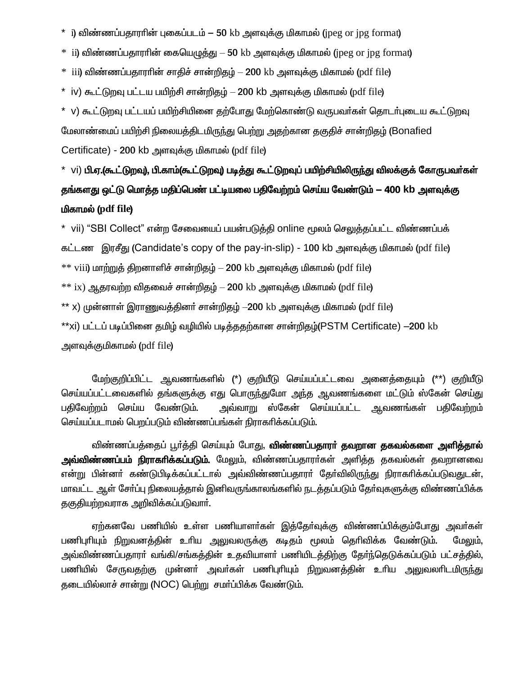- $^*$  i) விண்ணப்பதாரரின் புகைப்படம் 50 kb அளவுக்கு மிகாமல் (ipeg or ipg format)
- $*$  ii) விண்ணப்பதாராின் கையெழுத்து  $-$  50 kb அளவுக்கு மிகாமல் (ipeg or ipg format)
- $*$   $\,$ iii) விண்ணப்பதாராின் சாதிச் சான்றிதம்  $-$  200  $\rm kb$  அளவுக்கு மிகாமல் (pdf file)
- \* iv) கூட்டுறவு பட்டய பயிற்சி சான்றிதழ் 200 kb அளவுக்கு மிகாமல் (pdf file)
- \* v) கூட்டுறவு பட்டயப் பயிற்சியினை தற்போது மேற்கொண்டு வருபவர்கள் தொடர்புடைய கூட்டுறவு மேலாண்மைப் பயிற்சி நிலையத்திடமிருந்து பெற்று அதற்கான தகுதிச் சான்றிதழ் (Bonafied Certificate) - 200 kb அளவுக்கு மிகாமல் (pdf file)

# \* vi) பி.ஏ.(கூட்டுறவு), பி.காம்(கூட்டுறவு) படித்து கூட்டுறவுப் பயிற்சியிலிருந்து விலக்குக் கோருபவர்கள் தங்களது ஒட்டு மொத்த மதிப்பெண் பட்டியலை பதிவேற்றம் செய்ய வேண்டும் – 400 kb அளவுக்கு மிகாமல் (pdf file)

\* vii) "SBI Collect" என்ற சேவையைப் பயன்படுத்தி online மூலம் செலுத்தப்பட்ட விண்ணப்பக் கட்டண இரசீது (Candidate's copy of the pay-in-slip) - 100 kb அளவுக்கு மிகாமல் (pdf file)  $**$  viii) மாற்றுத் திறனாளிச் சான்றிதழ்  $-$  200 kb அளவுக்கு மிகாமல் (pdf file)  $**$  ix) ஆதரவற்ற விதவைச் சான்றிதழ்  $-$  200 kb அளவுக்கு மிகாமல் (pdf file) \*\* x) முன்னாள் இராணுவத்தினா் சான்றிதழ் --200 kb அளவுக்கு மிகாமல் (pdf file) \*\*xi) பட்டப் படிப்பினை தமிழ் வழியில் படித்ததற்கான சான்றிதழ்(PSTM Certificate) -200 kb அளவுக்குமிகாமல் (pdf file)

மேற்குறிப்பிட்ட ஆவணங்களில் (\*) குறியீடு செய்யப்பட்டவை அனைத்தையும் (\*\*) குறியீடு செய்யப்பட்டவைகளில் தங்களுக்கு எது பொருந்துமோ அந்த ஆவணங்களை மட்டும் ஸ்கேன் செய்து பதிவேற்றம் செய்ய வேண்டும். அவ்வாறு ஸ்கேன் செய்யப்பட்ட ஆவணங்கள் பதிவேற்றம் செய்யப்படாமல் பெறப்படும் விண்ணப்பங்கள் நிராகரிக்கப்படும்.

விண்ணப்பத்தைப் பூர்த்தி செய்யும் போது, **விண்ணப்பதாரா் தவறான தகவல்களை அளித்தால்** <mark>அவ்விண்ணப்பம் நிராகரிக்கப்படும்.</mark> மேலும், விண்ணப்பதாரா்கள் அளித்த தகவல்கள் தவறானவை என்று பின்னா் கண்டுபிடிக்கப்பட்டால் அவ்விண்ணப்பதாரா் கோ்விலிருந்து நிராகாிக்கப்படுவதுடன். மாவட்ட ஆள் சேர்ப்பு நிலையத்தால் இனிவருங்காலங்களில் நடத்தப்படும் தேர்வுகளுக்கு விண்ணப்பிக்க குகுதியற்றவராக அறிவிக்கப்படுவார்.

ஏற்கனவே பணியில் உள்ள பணியாளா்கள் இத்தோ்வுக்கு விண்ணப்பிக்கும்போது அவா்கள் பணிபுரியும் நிறுவனத்தின் உரிய அலுவலருக்கு கடிதம் மூலம் தெரிவிக்க வேண்டும். மேலம். அவ்விண்ணப்பதாரா் வங்கி/சங்கக்கின் உதவியாளா் பணியிடக்கிற்கு கோ்ந்தெடுக்கப்படும் பட்சக்கில். பணியில் சேருவதற்கு முன்னா் அவா்கள் பணிபுாியும் நிறுவனத்தின் உாிய அலுவலாிடமிருந்து தடையில்லாச் சான்று (NOC) பெற்று சமர்ப்பிக்க வேண்டும்.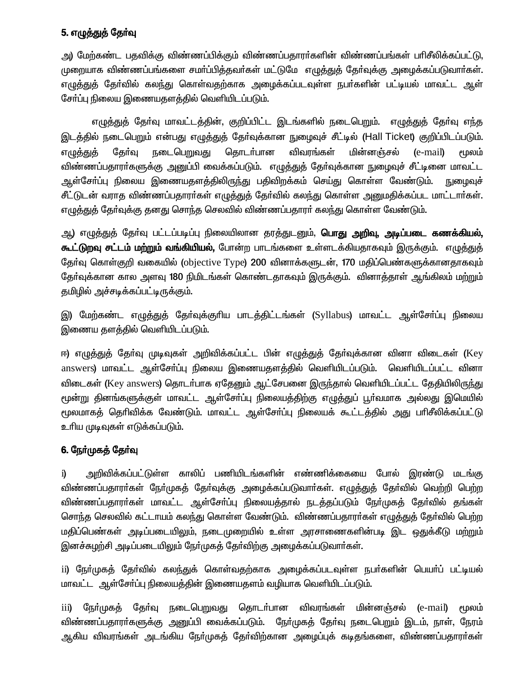# 5. எழுத்துத் தேர்வு

அ) மேற்கண்ட பதவிக்கு விண்ணப்பிக்கும் விண்ணப்பதாரா்களின் விண்ணப்பங்கள் பாிசீலிக்கப்பட்டு, முறையாக விண்ணப்பங்களை சமா்ப்பித்தவா்கள் மட்டுமே எழுத்துத் தோ்வுக்கு அழைக்கப்படுவாா்கள். எழுத்துத் தேர்வில் கலந்து கொள்வதற்காக அழைக்கப்படவுள்ள நபர்களின் பட்டியல் மாவட்ட ஆள் சேர்ப்பு நிலைய இணையதளத்தில் வெளியிடப்படும்.

எழுத்துத் தோ்வு மாவட்டத்தின், குறிப்பிட்ட இடங்களில் நடைபெறும். எழுத்துத் தோ்வு எந்த இடத்தில் நடைபெறும் என்பது எழுத்துத் தேர்வுக்கான நுழைவுச் சீட்டில் (Hall Ticket) குறிப்பிடப்படும். நடைபெறுவது தொடர்பான விவரங்கள் மின்னஞ்சல் (e-mail) மூலம் எழுத்துத் கேர்வு விண்ணப்பதாரா்களுக்கு அனுப்பி வைக்கப்படும். எழுத்துத் தோ்வுக்கான நுழைவுச் சீட்டினை மாவட்ட ஆள்சோ்ப்பு நிலைய இணையதளத்திலிரு<u>ந்து</u> பதிவிறக்கம் செய்து கொள்ள வேண்டும். நுறைவுச் சீட்டுடன் வராத விண்ணப்பதாரா்கள் எழுத்துத் தோ்வில் கலந்து கொள்ள அனுமதிக்கப்பட மாட்டாா்கள். எழுத்துத் தோ்வுக்கு தனது சொந்த செலவில் விண்ணப்பதாரா் கலந்து கொள்ள வேண்டும்.

ஆ) எழுத்துத் தோ்வு பட்டப்படிப்பு நிலையிலான தரத்துடனும், **பொது அறிவு, அடிப்படை கணக்கியல்,** கூட்டுறவு சட்டம் மற்றும் வங்கியியல், போன்ற பாடங்களை உள்ளடக்கியதாகவும் இருக்கும். எழுத்துத் தேர்வு கொள்குறி வகையில் (objective Type) 200 வினாக்களுடன், 170 மதிப்பெண்களுக்கானதாகவும் தேர்வுக்கான கால அளவு 180 நிமிடங்கள் கொண்டதாகவும் இருக்கும். வினாத்தாள் ஆங்கிலம் மற்றும் தமிழில் அச்சடிக்கப்பட்டிருக்கும்.

இ) மேற்கண்ட எழுத்துத் தேர்வுக்குரிய பாடத்திட்டங்கள் (Syllabus) மாவட்ட ஆள்சேர்ப்பு நிலைய இணைய தளத்தில் வெளியிடப்படும்.

ஈ) எழுத்துத் தோ்வு முடிவுகள் அறிவிக்கப்பட்ட பின் எழுத்துத் தோ்வுக்கான வினா விடைகள் (Key answers) மாவட்ட ஆள்சோ்ப்பு நிலைய இணையதளத்தில் வெளியிடப்படும். வெளியிடப்பட்ட வினா விடைகள் (Key answers) தொடர்பாக ஏதேனும் ஆட்சேபனை இருந்தால் வெளியிடப்பட்ட தேதியிலிருந்து மூன்று தினங்களுக்குள் மாவட்ட ஆள்சோ்ப்பு நிலையத்திற்கு எழுத்துப் பூா்வமாக அல்லது இமெயில் மூலமாகத் தெரிவிக்க வேண்டும். மாவட்ட ஆள்சோ்ப்பு நிலையக் கூட்டத்தில் அது பாிசீலிக்கப்பட்டு உரிய முடிவுகள் எடுக்கப்படும்.

# 6. நேர்முகத் தேர்வு

i) அறிவிக்கப்பட்டுள்ள காலிப் பணியிடங்களின் எண்ணிக்கையை போல் இரண்டு மடங்கு விண்ணப்பதாரா்கள் நோ்முகத் தோ்வுக்கு அழைக்கப்படுவாா்கள். எழுத்துத் தோ்வில் வெற்றி பெற்ற விண்ணப்பதாரா்கள் மாவட்ட ஆள்சோ்ப்பு நிலையத்தால் நடத்தப்படும் நோ்முகத் தோ்வில் தங்கள் சொந்த செலவில் கட்டாயம் கலந்து கொள்ள வேண்டும். விண்ணப்பதாரா்கள் எழுத்துத் தோ்வில் பெற்ற மதிப்பெண்கள் அடிப்படையிலும், நடைமுறையில் உள்ள அரசாணைகளின்படி இட ஒதுக்கீடு மற்றும் இனச்சுழற்சி அடிப்படையிலும் நேர்முகத் தேர்விற்கு அழைக்கப்படுவார்கள்.

ii) நோ்முகத் தோ்வில் கலந்துக் கொள்வதற்காக அழைக்கப்படவுள்ள நபா்களின் பெயா்ப் பட்டியல் மாவட்ட ஆள்சோ்ப்பு நிலையத்தின் இணையதளம் வழியாக வெளியிடப்படும்.

தோ்வு நடைபெறுவது தொடா்பான விவரங்கள் மின்னஞ்சல் மூலம் நேர்முகத்  $(e-mail)$  $\overline{111}$ விண்ணப்பதாரா்களுக்கு அனுப்பி வைக்கப்படும். நோ்முகத் தோ்வு நடைபெறும் இடம், நாள், நேரம் ஆகிய விவரங்கள் அடங்கிய நோ்முகத் தோ்விற்கான அழைப்புக் கடிதங்களை, விண்ணப்பதாரா்கள்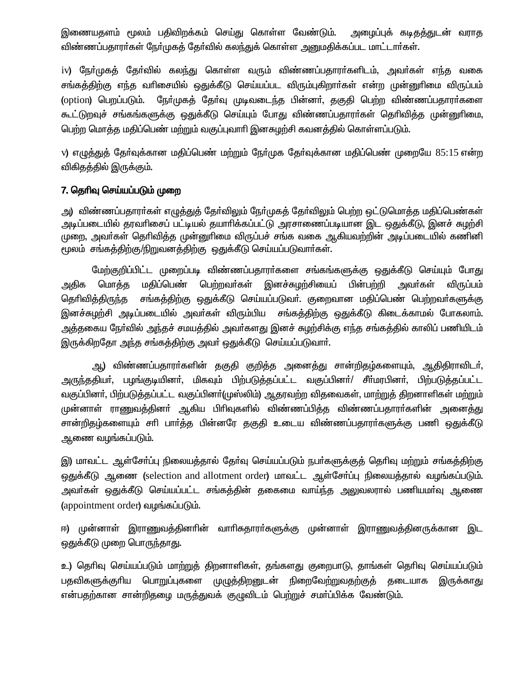இணையதளம் மூலம் பதிவிறக்கம் செய்து கொள்ள வேண்டும். அழைப்புக் கடிதத்துடன் வராத விண்ணப்பதாரா்கள் நோ்முகத் தோ்வில் கலந்துக் கொள்ள அனுமதிக்கப்பட மாட்டாா்கள்.

iv) நோ்முகத் தோ்வில் கலந்து கொள்ள வரும் விண்ணப்பதாரா்களிடம், அவா்கள் எந்த வகை சங்கத்திற்கு எந்த வரிசையில் ஒதுக்கீடு செய்யப்பட விரும்புகிறார்கள் என்ற முன்னுரிமை விருப்பம் (option) பெறப்படும். நேர்முகத் தேர்வு முடிவடைந்த பின்னர், தகுதி பெற்ற விண்ணப்பதாரர்களை கூட்டுறவுச் சங்கங்களுக்கு ஒதுக்கீடு செய்யும் போது விண்ணப்பதாரர்கள் தெரிவித்த முன்னுரிமை. பெற்ற மொத்த மதிப்பெண் மற்றும் வகுப்புவாரி இனசுமற்சி கவனத்தில் கொள்ளப்படும்.

v) எழுத்துத் தேர்வுக்கான மதிப்பெண் மற்றும் நேர்முக தேர்வுக்கான மதிப்பெண் முறையே 85:15 என்ற விகிதத்தில் இருக்கும்.

#### 7. தெரிவு செய்யப்படும் முறை

அ) விண்ணப்பதாரா்கள் எழுத்துத் தோ்விலும் நோ்முகத் தோ்விலும் பெற்ற ஒட்டுமொத்த மதிப்பெண்கள் அடிப்படையில் தரவரிசைப் பட்டியல் தயாரிக்கப்பட்டு அரசாணைப்படியான இட ஒதுக்கீடு, இனச் சுழற்சி முறை, அவர்கள் தெரிவித்த முன்னுரிமை விருப்பச் சங்க வகை ஆகியவற்றின் அடிப்படையில் கணினி மூலம் சங்கத்திற்கு/நிறுவனத்திற்கு ஒதுக்கீடு செய்யப்படுவாா்கள்.

மேற்குறிப்பிட்ட முறைப்படி விண்ணப்பதாரா்களை சங்கங்களுக்கு ஒதுக்கீடு செய்யும் போது அதிக மொத்த மதிப்பெண் பெற்றவா்கள் இனச்சுழற்சியைப் பின்பற்றி அவர்கள் விருப்பம் சங்கத்திற்கு ஒதுக்கீடு செய்யப்படுவா். குறைவான மதிப்பெண் பெற்றவா்களுக்கு தெரிவித்திருந்த இனச்சுழற்சி அடிப்படையில் அவா்கள் விரும்பிய சங்கத்திற்கு ஒதுக்கீடு கிடைக்காமல் போகலாம். அத்தகைய நோ்வில் அந்தச் சமயத்தில் அவா்களது இனச் சுழற்சிக்கு எந்த சங்கத்தில் காலிப் பணியிடம் இருக்கிறதோ அந்த சங்கத்திற்கு அவர் ஒதுக்கீடு செய்யப்படுவார்.

ஆ) விண்ணப்பதாரா்களின் தகுதி குறித்த அனைத்து சான்றிதழ்களையும், ஆதிதிராவிடா், அருந்ததியர், பழங்குடியினர், மிகவும் பிற்படுத்தப்பட்ட வகுப்பினர்/ சீர்மரபினர், பிற்படுத்தப்பட்ட வகுப்பினர், பிற்படுத்தப்பட்ட வகுப்பினர்(முஸ்லிம்) ஆதரவற்ற விதவைகள், மாற்றுத் திறனாளிகள் மற்றும் முன்னாள் ராணுவத்தினா் ஆகிய பிாிவுகளில் விண்ணப்பித்த விண்ணப்பதாரா்களின் அனைத்து சான்றிதழ்களையும் சரி பார்த்த பின்னரே தகுதி உடைய விண்ணப்பதாரர்களுக்கு பணி ஒதுக்கீடு ஆணை வழங்கப்படும்.

இ) மாவட்ட ஆள்சோ்ப்பு நிலையத்தால் தோ்வு செய்யப்படும் நபா்களுக்குத் தொிவு மற்றும் சங்கத்திற்கு ஒதுக்கீடு ஆணை (selection and allotment order) மாவட்ட ஆள்சோ்ப்பு நிலையத்தால் வழங்கப்படும். அவா்கள் ஒதுக்கீடு செய்யப்பட்ட சங்கத்தின் தகைமை வாய்ந்த அலுவலரால் பணியமா்வு ஆணை (appointment order) வழங்கப்படும்.

ஈ) முன்னாள் இராணுவத்தினாின் வாாிசுதாரா்களுக்கு முன்னாள் இராணுவத்தினருக்கான இட ஒதுக்கீடு முறை பொருந்தாது.

உ) தெரிவு செய்யப்படும் மாற்றுத் திறனாளிகள், தங்களது குறைபாடு, தாங்கள் தெரிவு செய்யப்படும் பதவிகளுக்குரிய பொறுப்புகளை முழுத்திறனுடன் நிறைவேற்றுவதற்குத் தடையாக இருக்காது என்பதற்கான சான்றிதழை மருத்துவக் குழுவிடம் பெற்றுச் சமா்ப்பிக்க வேண்டும்.